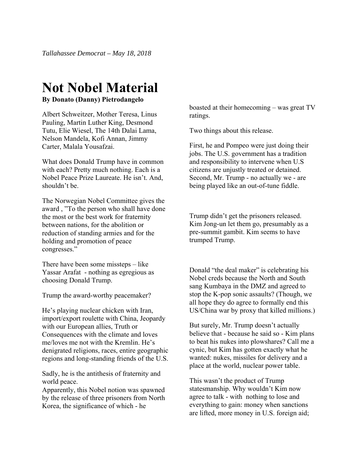## **Not Nobel Material**

**By Donato (Danny) Pietrodangelo** 

Albert Schweitzer, Mother Teresa, Linus Pauling, Martin Luther King, Desmond Tutu, Elie Wiesel, The 14th Dalai Lama, Nelson Mandela, Kofi Annan, Jimmy Carter, Malala Yousafzai.

What does Donald Trump have in common with each? Pretty much nothing. Each is a Nobel Peace Prize Laureate. He isn't. And, shouldn't be.

The Norwegian Nobel Committee gives the award , "To the person who shall have done the most or the best work for fraternity between nations, for the abolition or reduction of standing armies and for the holding and promotion of peace congresses."

There have been some missteps – like Yassar Arafat - nothing as egregious as choosing Donald Trump.

Trump the award-worthy peacemaker?

He's playing nuclear chicken with Iran, import/export roulette with China, Jeopardy with our European allies, Truth or Consequences with the climate and loves me/loves me not with the Kremlin. He's denigrated religions, races, entire geographic regions and long-standing friends of the U.S.

Sadly, he is the antithesis of fraternity and world peace.

Apparently, this Nobel notion was spawned by the release of three prisoners from North Korea, the significance of which - he

boasted at their homecoming – was great TV ratings.

Two things about this release.

First, he and Pompeo were just doing their jobs. The U.S. government has a tradition and responsibility to intervene when U.S citizens are unjustly treated or detained. Second, Mr. Trump - no actually we - are being played like an out-of-tune fiddle.

Trump didn't get the prisoners released. Kim Jong-un let them go, presumably as a pre-summit gambit. Kim seems to have trumped Trump.

Donald "the deal maker" is celebrating his Nobel creds because the North and South sang Kumbaya in the DMZ and agreed to stop the K-pop sonic assaults? (Though, we all hope they do agree to formally end this US/China war by proxy that killed millions.)

But surely, Mr. Trump doesn't actually believe that - because he said so - Kim plans to beat his nukes into plowshares? Call me a cynic, but Kim has gotten exactly what he wanted: nukes, missiles for delivery and a place at the world, nuclear power table.

This wasn't the product of Trump statesmanship. Why wouldn't Kim now agree to talk - with nothing to lose and everything to gain: money when sanctions are lifted, more money in U.S. foreign aid;